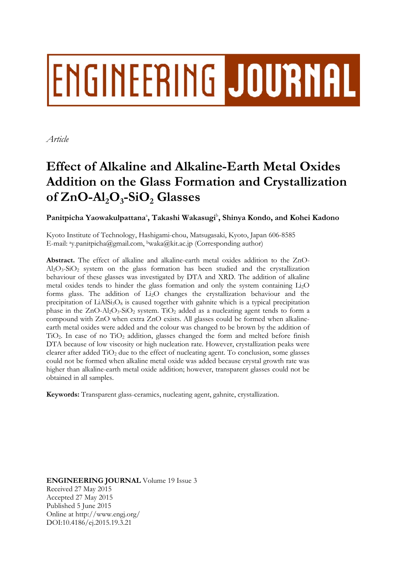# ENGINEERING JOURNAL

*Article* 

# **Effect of Alkaline and Alkaline-Earth Metal Oxides Addition on the Glass Formation and Crystallization**  of  $ZnO-Al<sub>2</sub>O<sub>3</sub>-SiO<sub>2</sub> Glasses$

Panitpicha Yaowakulpattana<sup>a</sup>, Takashi Wakasugi<sup>b</sup>, Shinya Kondo, and Kohei Kadono

Kyoto Institute of Technology, Hashigami-chou, Matsugasaki, Kyoto, Japan 606-8585 E-mail: ay.panitpicha@gmail.com, bwaka@kit.ac.jp (Corresponding author)

**Abstract.** The effect of alkaline and alkaline-earth metal oxides addition to the ZnO-Al2O3-SiO2 system on the glass formation has been studied and the crystallization behaviour of these glasses was investigated by DTA and XRD. The addition of alkaline metal oxides tends to hinder the glass formation and only the system containing Li2O forms glass. The addition of Li2O changes the crystallization behaviour and the precipitation of  $LiAlSi<sub>3</sub>O<sub>8</sub>$  is caused together with gahnite which is a typical precipitation phase in the  $ZnO-AI_2O_3-SiO_2$  system. TiO<sub>2</sub> added as a nucleating agent tends to form a compound with ZnO when extra ZnO exists. All glasses could be formed when alkalineearth metal oxides were added and the colour was changed to be brown by the addition of TiO2. In case of no TiO2 addition, glasses changed the form and melted before finish DTA because of low viscosity or high nucleation rate. However, crystallization peaks were clearer after added TiO2 due to the effect of nucleating agent. To conclusion, some glasses could not be formed when alkaline metal oxide was added because crystal growth rate was higher than alkaline-earth metal oxide addition; however, transparent glasses could not be obtained in all samples.

**Keywords:** Transparent glass-ceramics, nucleating agent, gahnite, crystallization.

**ENGINEERING JOURNAL** Volume 19 Issue 3 Received 27 May 2015 Accepted 27 May 2015 Published 5 June 2015 Online at http://www.engj.org/ DOI:10.4186/ej.2015.19.3.21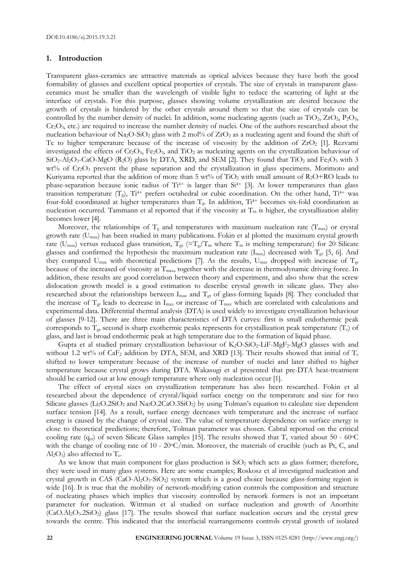#### **1. Introduction**

Transparent glass-ceramics are attractive materials as optical advices because they have both the good formability of glasses and excellent optical properties of crystals. The size of crystals in transparent glassceramics must be smaller than the wavelength of visible light to reduce the scattering of light at the interface of crystals. For this purpose, glasses showing volume crystallization are desired because the growth of crystals is hindered by the other crystals around them so that the size of crystals can be controlled by the number density of nuclei. In addition, some nucleating agents (such as  $TiO<sub>2</sub>$ ,  $ZrO<sub>2</sub>$ ,  $P<sub>2</sub>O<sub>5</sub>$ ,  $Cr_2O_3$ , etc.) are required to increase the number density of nuclei. One of the authors researched about the nucleation behaviour of  $N_{a2}O-SiO_2$  glass with 2 mol% of  $ZrO_2$  as a nucleating agent and found the shift of Tc to higher temperature because of the increase of viscosity by the addition of  $ZrO<sub>2</sub>$  [1]. Rezvami investigated the effects of Cr<sub>2</sub>O<sub>3</sub>, Fe<sub>2</sub>O<sub>3</sub>, and TiO<sub>2</sub> as nucleating agents on the crystallization behaviour of  $SiO_2-Al_2O_3-CaO-MgO$  (R<sub>2</sub>O) glass by DTA, XRD, and SEM [2]. They found that TiO<sub>2</sub> and Fe<sub>2</sub>O<sub>3</sub> with 3 wt% of Cr<sub>2</sub>O<sub>3</sub> prevent the phase separation and the crystallization in glass specimens. Morimoto and Kuriyama reported that the addition of more than 5 wt% of  $TiO<sub>2</sub>$  with small amount of  $R<sub>2</sub>O+RO$  leads to phase-separation because ionic radius of Ti<sup>4+</sup> is larger than Si<sup>4+</sup> [3]. At lower temperatures than glass transition temperature  $(T_g)$ , Ti<sup>4+</sup> prefers octahedral or cubic coordination. On the other hand, Ti<sup>4+</sup> was four-fold coordinated at higher temperatures than  $T_g$ . In addition,  $Ti^{4+}$  becomes six-fold coordination as nucleation occurred. Tammann et al reported that if the viscosity at  $T_m$  is higher, the crystallization ability becomes lower [4].

Moreover, the relationships of  $T_g$  and temperatures with maximum nucleation rate ( $T_{\text{max}}$ ) or crystal growth rate  $(U_{\text{max}})$  has been studied in many publications. Fokin et al plotted the maximum crystal growth rate (U<sub>max</sub>) versus reduced glass transition,  $T_{gr}$  (=T<sub>g</sub>/T<sub>m</sub> where T<sub>m</sub> is melting temperature) for 20 Silicate glasses and confirmed the hypothesis the maximum nucleation rate  $(I_{max})$  decreased with  $T_{gr}$  [5, 6]. And they compared  $U_{\text{max}}$  with theoretical predictions [7]. As the results,  $U_{\text{max}}$  dropped with increase of  $T_{\text{gr}}$ because of the increased of viscosity at Tmax, together with the decrease in thermodynamic driving force. In addition, these results are good correlation between theory and experiment, and also show that the screw dislocation growth model is a good estimation to describe crystal growth in silicate glass. They also researched about the relationships between  $I_{max}$  and  $T_{gr}$  of glass-forming liquids [8]. They concluded that the increase of  $T_{gr}$  leads to decrease in I<sub>max</sub> or increase of  $T_{max}$  which are correlated with calculations and experimental data. Differential thermal analysis (DTA) is used widely to investigate crystallization behaviour of glasses [9-12]. There are three main characteristics of DTA curves: first is small endothermic peak corresponds to  $T_g$ , second is sharp exothermic peaks represents for crystallization peak temperature  $(T_c)$  of glass, and last is broad endothermic peak at high temperature due to the formation of liquid phase.

Gupta et al studied primary crystallization behaviour of  $K_2O-SiO_2-LiF-MgF_2-MgO$  glasses with and without 1.2 wt% of CaF<sub>2</sub> addition by DTA, SEM, and XRD [13]. Their results showed that initial of T<sub>c</sub> shifted to lower temperature because of the increase of number of nuclei and later shifted to higher temperature because crystal grows during DTA. Wakasugi et al presented that pre-DTA heat-treatment should be carried out at low enough temperature where only nucleation occur [1].

The effect of crystal sizes on crystallization temperature has also been researched. Fokin et al researched about the dependence of crystal/liquid surface energy on the temperature and size for two Silicate glasses ( $Li_2O.2SiO_2$  and  $Na_2O.2CaO.3SiO_2$ ) by using Tolman's equation to calculate size dependent surface tension [14]. As a result, surface energy decreases with temperature and the increase of surface energy is caused by the change of crystal size. The value of temperature dependence on surface energy is close to theoretical predictions; therefore, Tolman parameter was chosen. Cabral reported on the critical cooling rate ( $q_{cr}$ ) of seven Silicate Glass samples [15]. The results showed that  $T_c$  varied about 50 - 60 $\degree$ C with the change of cooling rate of  $10 - 20$ °C/min. Moreover, the materials of crucible (such as Pt, C, and  $Al_2O_3$ ) also affected to T<sub>c</sub>.

As we know that main component for glass production is  $SiO<sub>2</sub>$  which acts as glass former; therefore, they were used in many glass systems. Here are some examples; Roskosz et al investigated nucleation and crystal growth in CAS (CaO-Al<sub>2</sub>O<sub>3</sub>-SiO<sub>2</sub>) system which is a good choice because glass-forming region is wide [16]. It is true that the mobility of network-modifying cation controls the composition and structure of nucleating phases which implies that viscosity controlled by network formers is not an important parameter for nucleation. Wittman et al studied on surface nucleation and growth of Anorthite  $(CaO.A<sub>2</sub>O<sub>3</sub>.2SiO<sub>2</sub>)$  glass [17]. The results showed that surface nucleation occurs and the crystal grew towards the centre. This indicated that the interfacial rearrangements controls crystal growth of isolated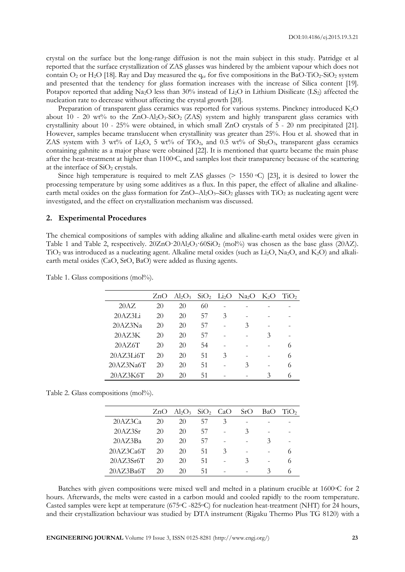crystal on the surface but the long-range diffusion is not the main subject in this study. Patridge et al reported that the surface crystallization of ZAS glasses was hindered by the ambient vapour which does not contain  $O_2$  or H<sub>2</sub>O [18]. Ray and Day measured the q<sub>cr</sub> for five compositions in the BaO-TiO<sub>2</sub>-SiO<sub>2</sub> system and presented that the tendency for glass formation increases with the increase of Silica content [19]. Potapov reported that adding Na<sub>2</sub>O less than 30% instead of L<sub>i2</sub>O in Lithium Disilicate (LS<sub>2</sub>) affected the nucleation rate to decrease without affecting the crystal growth [20].

Preparation of transparent glass ceramics was reported for various systems. Pinckney introduced K2O about 10 - 20 wt% to the  $ZnO-Al<sub>2</sub>O<sub>3</sub>-SiO<sub>2</sub>$  (ZAS) system and highly transparent glass ceramics with crystallinity about 10 - 25% were obtained, in which small ZnO crystals of 5 - 20 nm precipitated [21]. However, samples became translucent when crystallinity was greater than 25%. Hou et al. showed that in ZAS system with 3 wt% of Li<sub>2</sub>O, 5 wt% of TiO<sub>2</sub>, and 0.5 wt% of Sb<sub>2</sub>O<sub>3</sub>, transparent glass ceramics containing gahnite as a major phase were obtained [22]. It is mentioned that quartz became the main phase after the heat-treatment at higher than  $1100^{\circ}$ C, and samples lost their transparency because of the scattering at the interface of  $SiO<sub>2</sub>$  crystals.

Since high temperature is required to melt ZAS glasses (> 1550 °C) [23], it is desired to lower the processing temperature by using some additives as a flux. In this paper, the effect of alkaline and alkalineearth metal oxides on the glass formation for  $ZnO-Al<sub>2</sub>O<sub>3</sub>$ –SiO<sub>2</sub> glasses with TiO<sub>2</sub> as nucleating agent were investigated, and the effect on crystallization mechanism was discussed.

#### **2. Experimental Procedures**

The chemical compositions of samples with adding alkaline and alkaline-earth metal oxides were given in Table 1 and Table 2, respectively.  $20ZnO·20Al<sub>2</sub>O<sub>3</sub>·60SiO<sub>2</sub>$  (mol%) was chosen as the base glass (20AZ). TiO<sub>2</sub> was introduced as a nucleating agent. Alkaline metal oxides (such as Li<sub>2</sub>O, Na<sub>2</sub>O, and K<sub>2</sub>O) and alkaliearth metal oxides (CaO, SrO, BaO) were added as fluxing agents.

|           | ZnO | $Al_2O_3$ |    |   | $SiO2$ Li <sub>2</sub> O Na <sub>2</sub> O K <sub>2</sub> O |   | TiO <sub>2</sub> |
|-----------|-----|-----------|----|---|-------------------------------------------------------------|---|------------------|
| 20AZ      | 20  | 20        | 60 |   |                                                             |   |                  |
| 20AZ3Li   | 20  | 20        | 57 | 3 |                                                             |   |                  |
| 20AZ3Na   | 20  | 20        | 57 |   | 3                                                           |   |                  |
| 20AZ3K    | 20  | 20        | 57 |   |                                                             | 3 |                  |
| 20AZ6T    | 20  | 20        | 54 |   |                                                             |   | 6                |
| 20AZ3Li6T | 20  | 20        | 51 | 3 |                                                             |   | 6                |
| 20AZ3Na6T | 20  | 20        | 51 |   | 3                                                           |   | 6                |
| 20AZ3K6T  | 20  | 20        | 51 |   |                                                             | 3 | 6                |

Table 1. Glass compositions (mol%).

Table 2. Glass compositions (mol%).

|           | ZnO | $Al_2O_3$ SiO <sub>2</sub> CaO |        |   | SrO | <b>BaO</b> | TiO <sub>2</sub> |
|-----------|-----|--------------------------------|--------|---|-----|------------|------------------|
| 20AZ3Ca   | 20  | 20                             | $\sim$ | 3 |     |            |                  |
| 20AZ3Sr   | 20  | 20                             | 57     |   | 3   |            |                  |
| 20AZ3Ba   | 20  | 20                             | 57     |   |     | 3          |                  |
| 20AZ3Ca6T | 20  | 20                             | 51     | 3 |     |            | 6                |
| 20AZ3Sr6T | 20  | 20                             | 51     |   | 3   |            | 6                |
| 20AZ3Ba6T | 20  | 20                             | 51     |   |     | 2          |                  |

Batches with given compositions were mixed well and melted in a platinum crucible at 1600 °C for 2 hours. Afterwards, the melts were casted in a carbon mould and cooled rapidly to the room temperature. Casted samples were kept at temperature (675°C -825°C) for nucleation heat-treatment (NHT) for 24 hours, and their crystallization behaviour was studied by DTA instrument (Rigaku Thermo Plus TG 8120) with a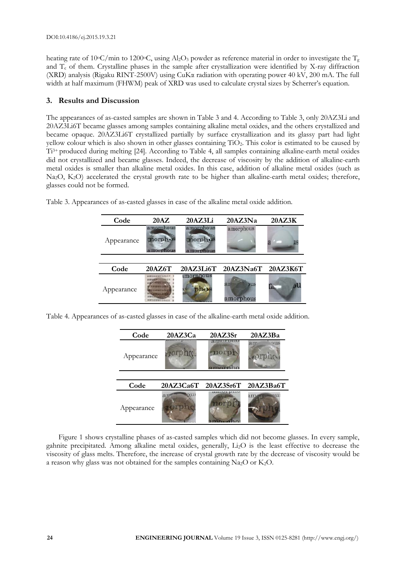heating rate of 10<sup>o</sup>C/min to 1200<sup>o</sup>C, using Al<sub>2</sub>O<sub>3</sub> powder as reference material in order to investigate the T<sub>g</sub> and  $T_c$  of them. Crystalline phases in the sample after crystallization were identified by X-ray diffraction (XRD) analysis (Rigaku RINT-2500V) using CuKα radiation with operating power 40 kV, 200 mA. The full width at half maximum (FHWM) peak of XRD was used to calculate crystal sizes by Scherrer's equation.

## **3. Results and Discussion**

The appearances of as-casted samples are shown in Table 3 and 4. According to Table 3, only 20AZ3Li and 20AZ3Li6T became glasses among samples containing alkaline metal oxides, and the others crystallized and became opaque. 20AZ3Li6T crystallized partially by surface crystallization and its glassy part had light yellow colour which is also shown in other glasses containing TiO<sub>2</sub>. This color is estimated to be caused by Ti3+ produced during melting [24]. According to Table 4, all samples containing alkaline-earth metal oxides did not crystallized and became glasses. Indeed, the decrease of viscosity by the addition of alkaline-earth metal oxides is smaller than alkaline metal oxides. In this case, addition of alkaline metal oxides (such as Na<sub>2</sub>O, K<sub>2</sub>O) accelerated the crystal growth rate to be higher than alkaline-earth metal oxides; therefore, glasses could not be formed.

| Code       | 20AZ                                                                                                                           | 20AZ3Li                                        | 20AZ3Na               | 20AZ3K   |
|------------|--------------------------------------------------------------------------------------------------------------------------------|------------------------------------------------|-----------------------|----------|
| Appearance | amorphous<br>norph.18<br>amorphous                                                                                             | amorphous<br>norph <sub>.18</sub><br>amorphous | amorphous             |          |
|            |                                                                                                                                |                                                |                       |          |
| Code       | 20AZ6T                                                                                                                         | 20AZ3Li6T                                      | 20AZ3Na6T             | 20AZ3K6T |
| Appearance | <b>WINNERSHEET/UNITED</b><br><b>AS NOT LARGE PROPERTY AS WELL INC.</b><br><b>NEED FIELD</b><br><b>NEW CARES</b><br>神経科科学協定会協定金 | imorphous                                      | ar<br>шs<br>amorphous |          |

Table 3. Appearances of as-casted glasses in case of the alkaline metal oxide addition.

Table 4. Appearances of as-casted glasses in case of the alkaline-earth metal oxide addition.

| Code       | 20AZ3Ca   | 20AZ3Sr      | 20AZ3Ba               |  |
|------------|-----------|--------------|-----------------------|--|
| Appearance | 20rph.    | morph        | $_{\text{NIS}}$<br>an |  |
| Code       | 20AZ3Ca6T | 20AZ3Sr6T    | 20AZ3Ba6T             |  |
| Appearance |           | <b>CLAAA</b> | w<br>ın               |  |

Figure 1 shows crystalline phases of as-casted samples which did not become glasses. In every sample, gahnite precipitated. Among alkaline metal oxides, generally, Li2O is the least effective to decrease the viscosity of glass melts. Therefore, the increase of crystal growth rate by the decrease of viscosity would be a reason why glass was not obtained for the samples containing Na2O or K2O.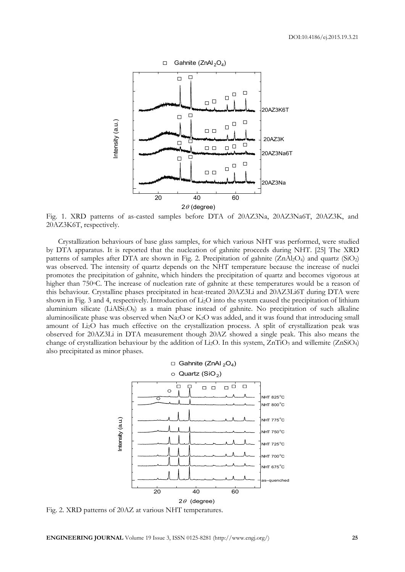

Fig. 1. XRD patterns of as-casted samples before DTA of 20AZ3Na, 20AZ3Na6T, 20AZ3K, and 20AZ3K6T, respectively.

Crystallization behaviours of base glass samples, for which various NHT was performed, were studied by DTA apparatus. It is reported that the nucleation of gahnite proceeds during NHT. [25] The XRD patterns of samples after DTA are shown in Fig. 2. Precipitation of gahnite  $(ZnAl_2O_4)$  and quartz  $(SiO_2)$ was observed. The intensity of quartz depends on the NHT temperature because the increase of nuclei promotes the precipitation of gahnite, which hinders the precipitation of quartz and becomes vigorous at higher than 750 °C. The increase of nucleation rate of gahnite at these temperatures would be a reason of this behaviour. Crystalline phases precipitated in heat-treated 20AZ3Li and 20AZ3Li6T during DTA were shown in Fig. 3 and 4, respectively. Introduction of Li2O into the system caused the precipitation of lithium aluminium silicate  $(LiAISi<sub>3</sub>O<sub>8</sub>)$  as a main phase instead of gahnite. No precipitation of such alkaline aluminosilicate phase was observed when Na<sub>2</sub>O or K<sub>2</sub>O was added, and it was found that introducing small amount of Li2O has much effective on the crystallization process. A split of crystallization peak was observed for 20AZ3Li in DTA measurement though 20AZ showed a single peak. This also means the change of crystallization behaviour by the addition of Li<sub>2</sub>O. In this system,  $ZnTiO<sub>3</sub>$  and willemite ( $ZnSiO<sub>4</sub>$ ) also precipitated as minor phases.



Fig. 2. XRD patterns of 20AZ at various NHT temperatures.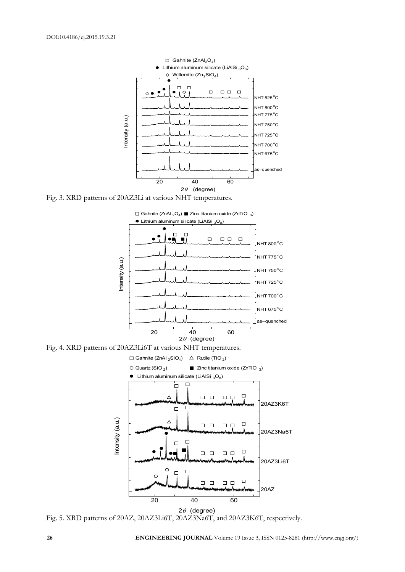

Fig. 3. XRD patterns of 20AZ3Li at various NHT temperatures.



Fig. 4. XRD patterns of 20AZ3Li6T at various NHT temperatures.



Fig. 5. XRD patterns of 20AZ, 20AZ3Li6T, 20AZ3Na6T, and 20AZ3K6T, respectively.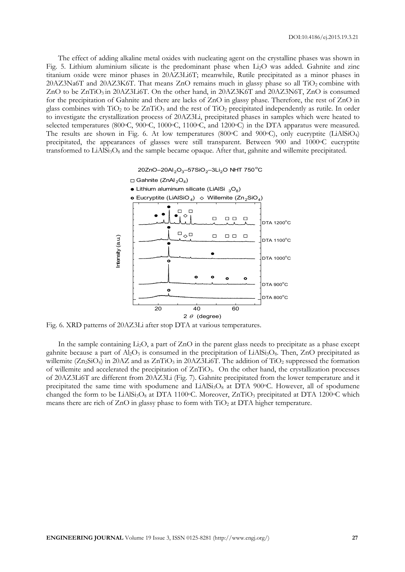The effect of adding alkaline metal oxides with nucleating agent on the crystalline phases was shown in Fig. 5. Lithium aluminium silicate is the predominant phase when Li2O was added. Gahnite and zinc titanium oxide were minor phases in 20AZ3Li6T; meanwhile, Rutile precipitated as a minor phases in  $20AZ3Na6T$  and  $20AZ3K6T$ . That means  $ZnO$  remains much in glassy phase so all  $TiO<sub>2</sub>$  combine with ZnO to be  $ZnTiO<sub>3</sub>$  in 20AZ3Li6T. On the other hand, in 20AZ3K6T and 20AZ3N6T, ZnO is consumed for the precipitation of Gahnite and there are lacks of ZnO in glassy phase. Therefore, the rest of ZnO in glass combines with  $TiO<sub>2</sub>$  to be  $ZnTiO<sub>3</sub>$  and the rest of  $TiO<sub>2</sub>$  precipitated independently as rutile. In order to investigate the crystallization process of 20AZ3Li, precipitated phases in samples which were heated to selected temperatures (800°C, 900°C, 1000°C, 1100°C, and 1200°C) in the DTA apparatus were measured. The results are shown in Fig. 6. At low temperatures (800°C and 900°C), only eucryptite (LiAlSiO<sub>4</sub>) precipitated, the appearances of glasses were still transparent. Between 900 and 1000 °C eucryptite transformed to  $LiAlSi<sub>3</sub>O<sub>8</sub>$  and the sample became opaque. After that, gahnite and willemite precipitated.

 $20ZnO-20Al_2O_3-57SiO_2-3Li_2O$  NHT  $750^{\circ}$ C



Fig. 6. XRD patterns of 20AZ3Li after stop DTA at various temperatures.

In the sample containing Li<sub>2</sub>O, a part of ZnO in the parent glass needs to precipitate as a phase except gahnite because a part of  $Al_2O_3$  is consumed in the precipitation of LiAlSi<sub>3</sub>O<sub>8</sub>. Then, ZnO precipitated as willemite  $(Zn_2SiO_4)$  in 20AZ and as  $ZnTiO_3$  in 20AZ3Li6T. The addition of  $TiO_2$  suppressed the formation of willemite and accelerated the precipitation of  $ZnTiO<sub>3</sub>$ . On the other hand, the crystallization processes of 20AZ3Li6T are different from 20AZ3Li (Fig. 7). Gahnite precipitated from the lower temperature and it precipitated the same time with spodumene and LiAlSi<sub>3</sub>O<sub>8</sub> at DTA 900 $\degree$ C. However, all of spodumene changed the form to be LiAlSi<sub>3</sub>O<sub>8</sub> at DTA 1100<sup>o</sup>C. Moreover,  $ZnTiO<sub>3</sub>$  precipitated at DTA 1200<sup>o</sup>C which means there are rich of  $ZnO$  in glassy phase to form with  $TiO<sub>2</sub>$  at DTA higher temperature.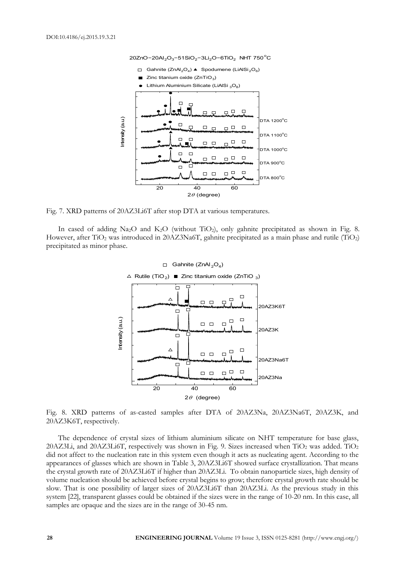

Fig. 7. XRD patterns of 20AZ3Li6T after stop DTA at various temperatures.

In cased of adding Na<sub>2</sub>O and K<sub>2</sub>O (without TiO<sub>2</sub>), only gahnite precipitated as shown in Fig. 8. However, after  $TiO<sub>2</sub>$  was introduced in 20AZ3Na6T, gahnite precipitated as a main phase and rutile (TiO<sub>2</sub>) precipitated as minor phase.



Fig. 8. XRD patterns of as-casted samples after DTA of 20AZ3Na, 20AZ3Na6T, 20AZ3K, and 20AZ3K6T, respectively.

The dependence of crystal sizes of lithium aluminium silicate on NHT temperature for base glass, 20AZ3Li, and 20AZ3Li6T, respectively was shown in Fig. 9. Sizes increased when  $TiO<sub>2</sub>$  was added.  $TiO<sub>2</sub>$ did not affect to the nucleation rate in this system even though it acts as nucleating agent. According to the appearances of glasses which are shown in Table 3, 20AZ3Li6T showed surface crystallization. That means the crystal growth rate of 20AZ3Li6T if higher than 20AZ3Li. To obtain nanoparticle sizes, high density of volume nucleation should be achieved before crystal begins to grow; therefore crystal growth rate should be slow. That is one possibility of larger sizes of 20AZ3Li6T than 20AZ3Li. As the previous study in this system [22], transparent glasses could be obtained if the sizes were in the range of 10-20 nm. In this case, all samples are opaque and the sizes are in the range of 30-45 nm.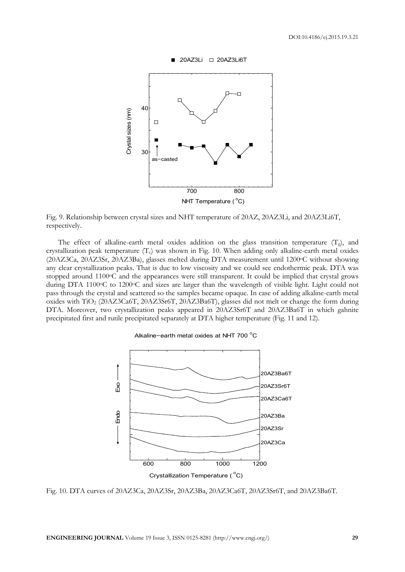

20AZ3Li □ 20AZ3Li6T

Fig. 9. Relationship between crystal sizes and NHT temperature of 20AZ, 20AZ3Li, and 20AZ3Li6T, respectively.

The effect of alkaline-earth metal oxides addition on the glass transition temperature  $(T_g)$ , and crystallization peak temperature  $(T_c)$  was shown in Fig. 10. When adding only alkaline-earth metal oxides (20AZ3Ca, 20AZ3Sr, 20AZ3Ba), glasses melted during DTA measurement until 1200oC without showing any clear crystallization peaks. That is due to low viscosity and we could see endothermic peak. DTA was stopped around 1100<sup>o</sup>C and the appearances were still transparent. It could be implied that crystal grows during DTA 1100°C to 1200°C and sizes are larger than the wavelength of visible light. Light could not pass through the crystal and scattered so the samples became opaque. In case of adding alkaline-earth metal oxides with TiO2 (20AZ3Ca6T, 20AZ3Sr6T, 20AZ3Ba6T), glasses did not melt or change the form during DTA. Moreover, two crystallization peaks appeared in 20AZ3Sr6T and 20AZ3Ba6T in which gahnite precipitated first and rutile precipitated separately at DTA higher temperature (Fig. 11 and 12).





Fig. 10. DTA curves of 20AZ3Ca, 20AZ3Sr, 20AZ3Ba, 20AZ3Ca6T, 20AZ3Sr6T, and 20AZ3Ba6T.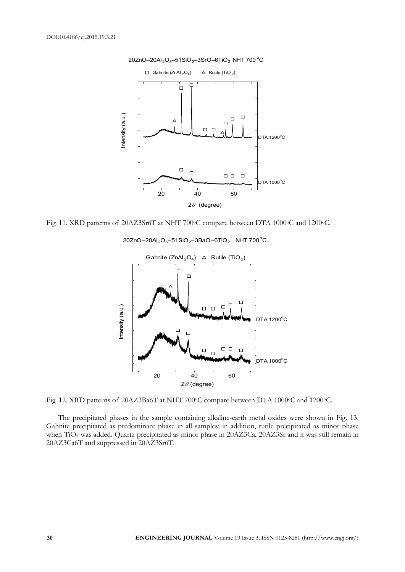

Fig. 11. XRD patterns of 20AZ3Sr6T at NHT 700°C compare between DTA 1000°C and 1200°C.



 $20ZnO-20Al_2O_3-51SiO_2-3BaO-6TiO_2$  NHT 700<sup>°</sup>C

Fig. 12. XRD patterns of 20AZ3Ba6T at NHT 700°C compare between DTA 1000°C and 1200°C.

The precipitated phases in the sample containing alkaline-earth metal oxides were shown in Fig. 13. Gahnite precipitated as predominant phase in all samples; in addition, rutile precipitated as minor phase when TiO<sub>2</sub> was added. Quartz precipitated as minor phase in 20AZ3Ca, 20AZ3Sr and it was still remain in 20AZ3Ca6T and suppressed in 20AZ3Sr6T.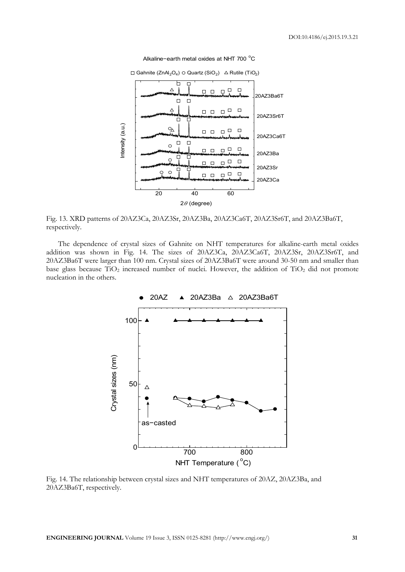

Alkaline−earth metal oxides at NHT 700 °C

Fig. 13. XRD patterns of 20AZ3Ca, 20AZ3Sr, 20AZ3Ba, 20AZ3Ca6T, 20AZ3Sr6T, and 20AZ3Ba6T, respectively.

The dependence of crystal sizes of Gahnite on NHT temperatures for alkaline-earth metal oxides addition was shown in Fig. 14. The sizes of 20AZ3Ca, 20AZ3Ca6T, 20AZ3Sr, 20AZ3Sr6T, and 20AZ3Ba6T were larger than 100 nm. Crystal sizes of 20AZ3Ba6T were around 30-50 nm and smaller than base glass because  $TiO<sub>2</sub>$  increased number of nuclei. However, the addition of  $TiO<sub>2</sub>$  did not promote nucleation in the others.



Fig. 14. The relationship between crystal sizes and NHT temperatures of 20AZ, 20AZ3Ba, and 20AZ3Ba6T, respectively.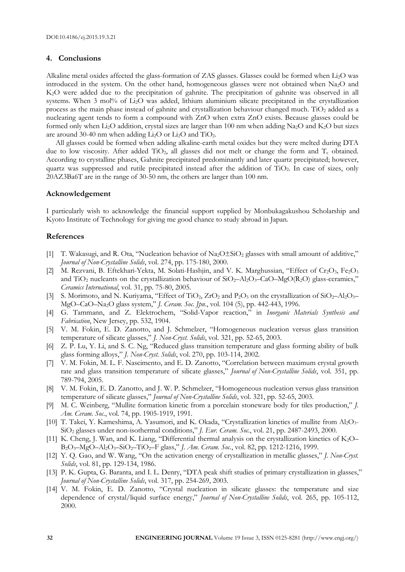### **4. Conclusions**

Alkaline metal oxides affected the glass-formation of ZAS glasses. Glasses could be formed when  $Li<sub>2</sub>O$  was introduced in the system. On the other hand, homogeneous glasses were not obtained when Na2O and K2O were added due to the precipitation of gahnite. The precipitation of gahnite was observed in all systems. When 3 mol% of L<sub>12</sub>O was added, lithium aluminium silicate precipitated in the crystallization process as the main phase instead of gahnite and crystallization behaviour changed much. TiO<sub>2</sub> added as a nucleating agent tends to form a compound with ZnO when extra ZnO exists. Because glasses could be formed only when Li<sub>2</sub>O addition, crystal sizes are larger than 100 nm when adding Na<sub>2</sub>O and K<sub>2</sub>O but sizes are around 30-40 nm when adding  $Li<sub>2</sub>O$  or  $Li<sub>2</sub>O$  and  $TiO<sub>2</sub>$ .

 All glasses could be formed when adding alkaline-earth metal oxides but they were melted during DTA due to low viscosity. After added TiO<sub>2</sub>, all glasses did not melt or change the form and  $T_c$  obtained. According to crystalline phases, Gahnite precipitated predominantly and later quartz precipitated; however, quartz was suppressed and rutile precipitated instead after the addition of TiO2. In case of sizes, only 20AZ3Ba6T are in the range of 30-50 nm, the others are larger than 100 nm.

### **Acknowledgement**

I particularly wish to acknowledge the financial support supplied by Monbukagakushou Scholarship and Kyoto Institute of Technology for giving me good chance to study abroad in Japan.

### **References**

- [1] T. Wakasugi, and R. Ota, "Nucleation behavior of  $Na<sub>2</sub>O<sub>2</sub>$  glasses with small amount of additive," *Journal of Non-Crystalline Solids*, vol. 274, pp. 175-180, 2000.
- [2] M. Rezvani, B. Eftekhari-Yekta, M. Solati-Hashjin, and V. K. Marghussian, "Effect of Cr<sub>2</sub>O<sub>3</sub>, Fe<sub>2</sub>O<sub>3</sub> and TiO<sub>2</sub> nucleants on the crystallization behaviour of  $SiO_2-Al_2O_3-CaO-MgO(R_2O)$  glass-ceramics," *Ceramics International*, vol. 31, pp. 75-80, 2005.
- [3] S. Morimoto, and N. Kuriyama, "Effect of TiO<sub>2</sub>,  $ZrO_2$  and P<sub>2</sub>O<sub>5</sub> on the crystallization of SiO<sub>2</sub>–Al<sub>2</sub>O<sub>3</sub>– MgO–CaO–Na2O glass system," *J. Ceram. Soc. Jpn.*, vol. 104 (5), pp. 442-443, 1996.
- [4] G. Tammann, and Z. Elektrochem, "Solid-Vapor reaction," in *Inorganic Materials Synthesis and Fabrication*, New Jersey, pp. 532, 1904.
- [5] V. M. Fokin, E. D. Zanotto, and J. Schmelzer, "Homogeneous nucleation versus glass transition temperature of silicate glasses," *J. Non-Cryst. Solids*, vol. 321, pp. 52-65, 2003.
- [6] Z. P. Lu, Y. Li, and S. C. Ng, "Reduced glass transition temperature and glass forming ability of bulk glass forming alloys," *J. Non-Cryst. Solids*, vol. 270, pp. 103-114, 2002.
- [7] V. M. Fokin, M. L. F. Nascimento, and E. D. Zanotto, "Correlation between maximum crystal growth rate and glass transition temperature of silicate glasses," *Journal of Non-Crystalline Solids*, vol. 351, pp. 789-794, 2005.
- [8] V. M. Fokin, E. D. Zanotto, and J. W. P. Schmelzer, "Homogeneous nucleation versus glass transition temperature of silicate glasses," *Journal of Non-Crystalline Solids*, vol. 321, pp. 52-65, 2003.
- [9] M. C. Weinberg, "Mullite formation kinetic from a porcelain stoneware body for tiles production," *J. Am. Ceram. Soc.*, vol. 74, pp. 1905-1919, 1991.
- [10] T. Takei, Y. Kameshima, A. Yasumori, and K. Okada, "Crystallization kinetics of mullite from Al2O3-SiO2 glasses under non-isothermal conditions," *J. Eur. Ceram. Soc.*, vol. 21, pp. 2487-2493, 2000.
- [11] K. Cheng, J. Wan, and K. Liang, "Differential thermal analysis on the crystallization kinetics of K2O– B2O3–MgO–Al2O3–SiO2–TiO2–F glass," *J. Am. Ceram. Soc.*, vol. 82, pp. 1212-1216, 1999.
- [12] Y. Q. Gao, and W. Wang, "On the activation energy of crystallization in metallic glasses," *J. Non-Cryst. Solids*, vol. 81, pp. 129-134, 1986.
- [13] P. K. Gupta, G. Baranta, and I. L. Denry, "DTA peak shift studies of primary crystallization in glasses," *Journal of Non-Crystalline Solids*, vol. 317, pp. 254-269, 2003.
- [14] V. M. Fokin, E. D. Zanotto, "Crystal nucleation in silicate glasses: the temperature and size dependence of crystal/liquid surface energy," *Journal of Non-Crystalline Solids*, vol. 265, pp. 105-112, 2000.